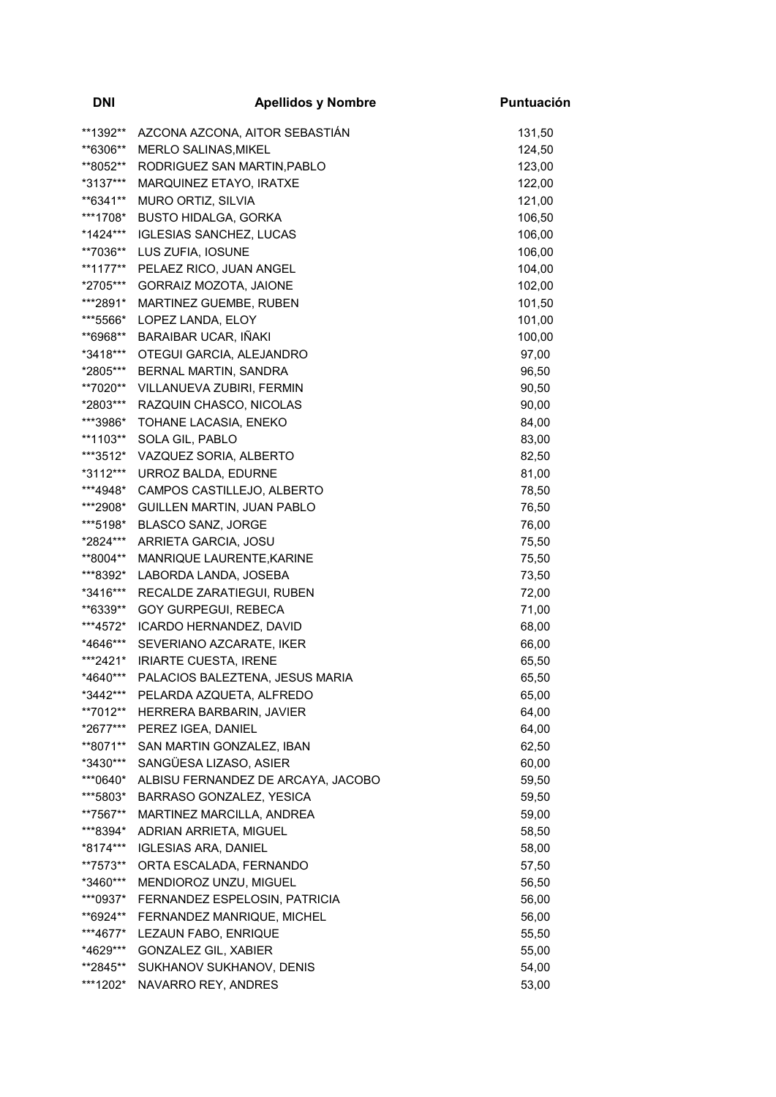| <b>DNI</b> | <b>Apellidos y Nombre</b>                | Puntuación |
|------------|------------------------------------------|------------|
| **1392**   | AZCONA AZCONA, AITOR SEBASTIÁN           | 131,50     |
| **6306**   | MERLO SALINAS, MIKEL                     | 124,50     |
| **8052**   | RODRIGUEZ SAN MARTIN, PABLO              | 123,00     |
| *3137***   | MARQUINEZ ETAYO, IRATXE                  | 122,00     |
| **6341**   | MURO ORTIZ, SILVIA                       | 121,00     |
| ***1708*   | <b>BUSTO HIDALGA, GORKA</b>              | 106,50     |
| *1424***   | <b>IGLESIAS SANCHEZ, LUCAS</b>           | 106,00     |
| **7036**   | LUS ZUFIA, IOSUNE                        | 106,00     |
| **1177**   | PELAEZ RICO, JUAN ANGEL                  | 104,00     |
| *2705***   | GORRAIZ MOZOTA, JAIONE                   | 102,00     |
| ***2891*   | MARTINEZ GUEMBE, RUBEN                   | 101,50     |
| ***5566*   | LOPEZ LANDA, ELOY                        | 101,00     |
| **6968**   | BARAIBAR UCAR, IÑAKI                     | 100,00     |
| *3418***   | OTEGUI GARCIA, ALEJANDRO                 | 97,00      |
| *2805***   | BERNAL MARTIN, SANDRA                    | 96,50      |
| **7020**   | VILLANUEVA ZUBIRI, FERMIN                | 90,50      |
| *2803***   | RAZQUIN CHASCO, NICOLAS                  | 90,00      |
| ***3986*   | TOHANE LACASIA, ENEKO                    | 84,00      |
| **1103**   | SOLA GIL, PABLO                          | 83,00      |
| ***3512*   | VAZQUEZ SORIA, ALBERTO                   | 82,50      |
| *3112***   | URROZ BALDA, EDURNE                      | 81,00      |
| ***4948*   | CAMPOS CASTILLEJO, ALBERTO               | 78,50      |
| ***2908*   | GUILLEN MARTIN, JUAN PABLO               | 76,50      |
| ***5198*   | <b>BLASCO SANZ, JORGE</b>                | 76,00      |
| *2824***   | ARRIETA GARCIA, JOSU                     | 75,50      |
| **8004**   | MANRIQUE LAURENTE, KARINE                | 75,50      |
| ***8392*   | LABORDA LANDA, JOSEBA                    | 73,50      |
| *3416***   | RECALDE ZARATIEGUI, RUBEN                | 72,00      |
| **6339**   | GOY GURPEGUI, REBECA                     | 71,00      |
| ***4572*   | ICARDO HERNANDEZ, DAVID                  | 68,00      |
| *4646***   | SEVERIANO AZCARATE, IKER                 | 66,00      |
| ***2421*   | <b>IRIARTE CUESTA, IRENE</b>             | 65,50      |
|            | *4640*** PALACIOS BALEZTENA, JESUS MARIA | 65,50      |
| *3442***   | PELARDA AZQUETA, ALFREDO                 | 65,00      |
| **7012**   | HERRERA BARBARIN, JAVIER                 | 64,00      |
| *2677***   | PEREZ IGEA, DANIEL                       | 64,00      |
| **8071**   | SAN MARTIN GONZALEZ, IBAN                | 62,50      |
| *3430***   | SANGÜESA LIZASO, ASIER                   | 60,00      |
| ***0640*   | ALBISU FERNANDEZ DE ARCAYA, JACOBO       | 59,50      |
| ***5803*   | BARRASO GONZALEZ, YESICA                 | 59,50      |
| **7567**   | MARTINEZ MARCILLA, ANDREA                | 59,00      |
| ***8394*   | ADRIAN ARRIETA, MIGUEL                   | 58,50      |
| *8174***   | <b>IGLESIAS ARA, DANIEL</b>              | 58,00      |
| **7573**   | ORTA ESCALADA, FERNANDO                  | 57,50      |
| *3460***   | MENDIOROZ UNZU, MIGUEL                   | 56,50      |
| ***0937*   | FERNANDEZ ESPELOSIN, PATRICIA            | 56,00      |
| **6924**   | FERNANDEZ MANRIQUE, MICHEL               | 56,00      |
| ***4677*   | LEZAUN FABO, ENRIQUE                     | 55,50      |
| *4629***   | GONZALEZ GIL, XABIER                     | 55,00      |
| **2845**   | SUKHANOV SUKHANOV, DENIS                 | 54,00      |
| ***1202*   | NAVARRO REY, ANDRES                      | 53,00      |